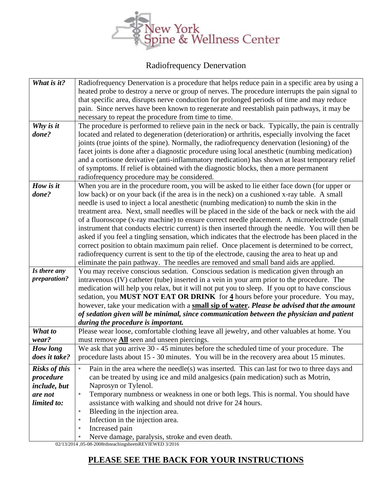

## Radiofrequency Denervation

| What is it?          | Radiofrequency Denervation is a procedure that helps reduce pain in a specific area by using a    |
|----------------------|---------------------------------------------------------------------------------------------------|
|                      | heated probe to destroy a nerve or group of nerves. The procedure interrupts the pain signal to   |
|                      | that specific area, disrupts nerve conduction for prolonged periods of time and may reduce        |
|                      | pain. Since nerves have been known to regenerate and reestablish pain pathways, it may be         |
|                      | necessary to repeat the procedure from time to time.                                              |
| Why is it            | The procedure is performed to relieve pain in the neck or back. Typically, the pain is centrally  |
| done?                | located and related to degeneration (deterioration) or arthritis, especially involving the facet  |
|                      | joints (true joints of the spine). Normally, the radiofrequency denervation (lesioning) of the    |
|                      | facet joints is done after a diagnostic procedure using local anesthetic (numbing medication)     |
|                      | and a cortisone derivative (anti-inflammatory medication) has shown at least temporary relief     |
|                      | of symptoms. If relief is obtained with the diagnostic blocks, then a more permanent              |
|                      | radiofrequency procedure may be considered.                                                       |
| How is it            | When you are in the procedure room, you will be asked to lie either face down (for upper or       |
| done?                | low back) or on your back (if the area is in the neck) on a cushioned x-ray table. A small        |
|                      | needle is used to inject a local anesthetic (numbing medication) to numb the skin in the          |
|                      | treatment area. Next, small needles will be placed in the side of the back or neck with the aid   |
|                      | of a fluoroscope (x-ray machine) to ensure correct needle placement. A microelectrode (small      |
|                      | instrument that conducts electric current) is then inserted through the needle. You will then be  |
|                      | asked if you feel a tingling sensation, which indicates that the electrode has been placed in the |
|                      | correct position to obtain maximum pain relief. Once placement is determined to be correct,       |
|                      | radiofrequency current is sent to the tip of the electrode, causing the area to heat up and       |
|                      | eliminate the pain pathway. The needles are removed and small band aids are applied.              |
| Is there any         | You may receive conscious sedation. Conscious sedation is medication given through an             |
| <i>preparation?</i>  | intravenous (IV) catheter (tube) inserted in a vein in your arm prior to the procedure. The       |
|                      | medication will help you relax, but it will not put you to sleep. If you opt to have conscious    |
|                      | sedation, you MUST NOT EAT OR DRINK for 4 hours before your procedure. You may,                   |
|                      | however, take your medication with a small sip of water. Please be advised that the amount        |
|                      | of sedation given will be minimal, since communication between the physician and patient          |
|                      | during the procedure is important.                                                                |
| What to              | Please wear loose, comfortable clothing leave all jewelry, and other valuables at home. You       |
| wear?                | must remove <b>All</b> seen and unseen piercings.                                                 |
| How long             | We ask that you arrive 30 - 45 minutes before the scheduled time of your procedure. The           |
| does it take?        | procedure lasts about 15 - 30 minutes. You will be in the recovery area about 15 minutes.         |
| <b>Risks of this</b> | Pain in the area where the needle(s) was inserted. This can last for two to three days and        |
| procedure            | can be treated by using ice and mild analgesics (pain medication) such as Motrin,                 |
| include, but         | Naprosyn or Tylenol.                                                                              |
| are not              | Temporary numbness or weakness in one or both legs. This is normal. You should have<br>$\star$    |
| limited to:          | assistance with walking and should not drive for 24 hours.                                        |
|                      | Bleeding in the injection area.<br>$\star$                                                        |
|                      | Infection in the injection area.<br>$\star$                                                       |
|                      | Increased pain<br>$\star$                                                                         |
|                      | Nerve damage, paralysis, stroke and even death.<br>$\star$                                        |

02/13/2014 ,05-08-2008rdsteachingsheetsREVIEWED 3/2016

## **PLEASE SEE THE BACK FOR YOUR INSTRUCTIONS**